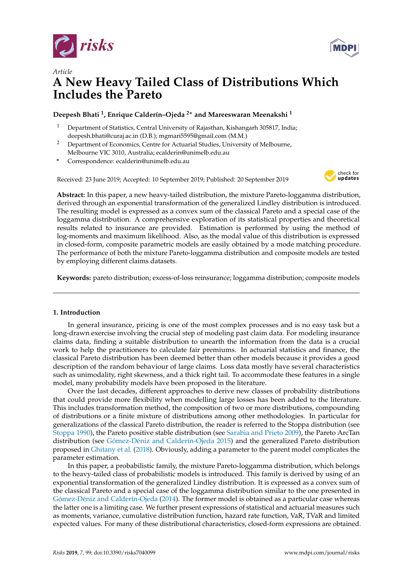



# *Article* **A New Heavy Tailed Class of Distributions Which Includes the Pareto**

# **Deepesh Bhati <sup>1</sup> , Enrique Calderín–Ojeda <sup>2</sup>**<sup>∗</sup> **and Mareeswaran Meenakshi <sup>1</sup>**

- <sup>1</sup> Department of Statistics, Central University of Rajasthan, Kishangarh 305817, India; deepesh.bhati@curaj.ac.in (D.B.); mgmari5595@gmail.com (M.M.)
- <sup>2</sup> Department of Economics, Centre for Actuarial Studies, University of Melbourne, Melbourne VIC 3010, Australia; ecalderin@unimelb.edu.au
- **\*** Correspondence: ecalderin@unimelb.edu.au

Received: 23 June 2019; Accepted: 10 September 2019; Published: 20 September 2019



**Abstract:** In this paper, a new heavy-tailed distribution, the mixture Pareto-loggamma distribution, derived through an exponential transformation of the generalized Lindley distribution is introduced. The resulting model is expressed as a convex sum of the classical Pareto and a special case of the loggamma distribution. A comprehensive exploration of its statistical properties and theoretical results related to insurance are provided. Estimation is performed by using the method of log-moments and maximum likelihood. Also, as the modal value of this distribution is expressed in closed-form, composite parametric models are easily obtained by a mode matching procedure. The performance of both the mixture Pareto-loggamma distribution and composite models are tested by employing different claims datasets.

**Keywords:** pareto distribution; excess-of-loss reinsurance; loggamma distribution; composite models

# **1. Introduction**

In general insurance, pricing is one of the most complex processes and is no easy task but a long-drawn exercise involving the crucial step of modeling past claim data. For modeling insurance claims data, finding a suitable distribution to unearth the information from the data is a crucial work to help the practitioners to calculate fair premiums. In actuarial statistics and finance, the classical Pareto distribution has been deemed better than other models because it provides a good description of the random behaviour of large claims. Loss data mostly have several characteristics such as unimodality, right skewness, and a thick right tail. To accommodate these features in a single model, many probability models have been proposed in the literature.

Over the last decades, different approaches to derive new classes of probability distributions that could provide more flexibility when modelling large losses has been added to the literature. This includes transformation method, the composition of two or more distributions, compounding of distributions or a finite mixture of distributions among other methodologies. In particular for generalizations of the classical Pareto distribution, the reader is referred to the Stoppa distribution (see [Stoppa](#page-15-0) [1990\)](#page-15-0), the Pareto positive stable distribution (see [Sarabia and Prieto](#page-15-1) [2009\)](#page-15-1), the Pareto ArcTan distribution (see [Gómez-Déniz and Calderín-Ojeda](#page-15-2) [2015\)](#page-15-2) and the generalized Pareto distribution proposed in [Ghitany et al.](#page-15-3) [\(2018\)](#page-15-3). Obviously, adding a parameter to the parent model complicates the parameter estimation.

In this paper, a probabilistic family, the mixture Pareto-loggamma distribution, which belongs to the heavy-tailed class of probabilistic models is introduced. This family is derived by using of an exponential transformation of the generalized Lindley distribution. It is expressed as a convex sum of the classical Pareto and a special case of the loggamma distribution similar to the one presented in [Gómez-Déniz and Calderín-Ojeda](#page-15-4) [\(2014\)](#page-15-4). The former model is obtained as a particular case whereas the latter one is a limiting case. We further present expressions of statistical and actuarial measures such as moments, variance, cumulative distribution function, hazard rate function, VaR, TVaR and limited expected values. For many of these distributional characteristics, closed-form expressions are obtained.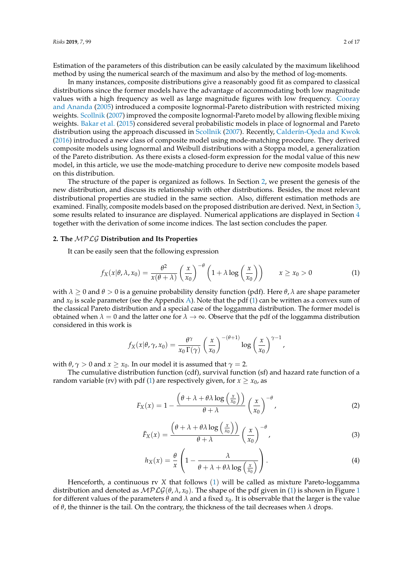Estimation of the parameters of this distribution can be easily calculated by the maximum likelihood method by using the numerical search of the maximum and also by the method of log-moments.

In many instances, composite distributions give a reasonably good fit as compared to classical distributions since the former models have the advantage of accommodating both low magnitude values with a high frequency as well as large magnitude figures with low frequency. [Cooray](#page-15-5) [and Ananda](#page-15-5) [\(2005\)](#page-15-5) introduced a composite lognormal-Pareto distribution with restricted mixing weights. [Scollnik](#page-15-6) [\(2007\)](#page-15-6) improved the composite lognormal-Pareto model by allowing flexible mixing weights. [Bakar et al.](#page-15-7) [\(2015\)](#page-15-7) considered several probabilistic models in place of lognormal and Pareto distribution using the approach discussed in [Scollnik](#page-15-6) [\(2007\)](#page-15-6). Recently, [Calderín-Ojeda and Kwok](#page-15-8) [\(2016\)](#page-15-8) introduced a new class of composite model using mode-matching procedure. They derived composite models using lognormal and Weibull distributions with a Stoppa model, a generalization of the Pareto distribution. As there exists a closed-form expression for the modal value of this new model, in this article, we use the mode-matching procedure to derive new composite models based on this distribution.

The structure of the paper is organized as follows. In Section [2,](#page-1-0) we present the genesis of the new distribution, and discuss its relationship with other distributions. Besides, the most relevant distributional properties are studied in the same section. Also, different estimation methods are examined. Finally, composite models based on the proposed distribution are derived. Next, in Section [3,](#page-8-0) some results related to insurance are displayed. Numerical applications are displayed in Section [4](#page-11-0) together with the derivation of some income indices. The last section concludes the paper.

#### <span id="page-1-0"></span>**2. The** MPLG **Distribution and Its Properties**

It can be easily seen that the following expression

<span id="page-1-1"></span>
$$
f_X(x|\theta, \lambda, x_0) = \frac{\theta^2}{x(\theta + \lambda)} \left(\frac{x}{x_0}\right)^{-\theta} \left(1 + \lambda \log\left(\frac{x}{x_0}\right)\right) \qquad x \ge x_0 > 0 \tag{1}
$$

with  $\lambda \geq 0$  and  $\theta > 0$  is a genuine probability density function (pdf). Here  $\theta$ ,  $\lambda$  are shape parameter and  $x_0$  is scale parameter (see the Appendix [A\)](#page-13-0). Note that the pdf [\(1\)](#page-1-1) can be written as a convex sum of the classical Pareto distribution and a special case of the loggamma distribution. The former model is obtained when  $\lambda = 0$  and the latter one for  $\lambda \to \infty$ . Observe that the pdf of the loggamma distribution considered in this work is

$$
f_X(x|\theta,\gamma,x_0)=\frac{\theta^{\gamma}}{x_0\,\Gamma(\gamma)}\left(\frac{x}{x_0}\right)^{-(\theta+1)}\log\left(\frac{x}{x_0}\right)^{\gamma-1},
$$

with  $\theta$ ,  $\gamma > 0$  and  $x \geq x_0$ . In our model it is assumed that  $\gamma = 2$ .

The cumulative distribution function (cdf), survival function (sf) and hazard rate function of a random variable (rv) with pdf [\(1\)](#page-1-1) are respectively given, for  $x \ge x_0$ , as

<span id="page-1-3"></span>
$$
F_X(x) = 1 - \frac{\left(\theta + \lambda + \theta \lambda \log\left(\frac{x}{x_0}\right)\right)}{\theta + \lambda} \left(\frac{x}{x_0}\right)^{-\theta},\tag{2}
$$

<span id="page-1-4"></span>
$$
\bar{F}_X(x) = \frac{\left(\theta + \lambda + \theta \lambda \log\left(\frac{x}{x_0}\right)\right)}{\theta + \lambda} \left(\frac{x}{x_0}\right)^{-\theta},\tag{3}
$$

<span id="page-1-2"></span>
$$
h_X(x) = \frac{\theta}{x} \left( 1 - \frac{\lambda}{\theta + \lambda + \theta \lambda \log\left(\frac{x}{x_0}\right)} \right). \tag{4}
$$

Henceforth, a continuous rv *X* that follows ([1](#page-1-1)) will be called as mixture Pareto-loggamma distribution and denoted as  $MPLG(\theta, \lambda, x_0)$ . The shape of the pdf given in [\(1\)](#page-1-1) is shown in Figure [1](#page-2-0) for different values of the parameters  $\theta$  and  $\lambda$  and a fixed  $x_0$ . It is observable that the larger is the value of *θ*, the thinner is the tail. On the contrary, the thickness of the tail decreases when *λ* drops.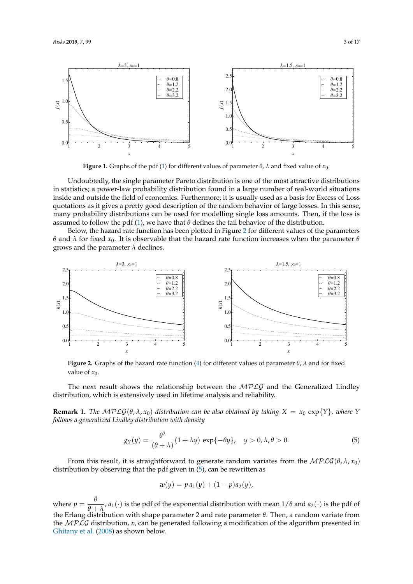<span id="page-2-0"></span>

**Figure 1.** Graphs of the pdf [\(1\)](#page-1-1) for different values of parameter  $\theta$ ,  $\lambda$  and fixed value of  $x_0$ .

Undoubtedly, the single parameter Pareto distribution is one of the most attractive distributions in statistics; a power-law probability distribution found in a large number of real-world situations inside and outside the field of economics. Furthermore, it is usually used as a basis for Excess of Loss quotations as it gives a pretty good description of the random behavior of large losses. In this sense, many probability distributions can be used for modelling single loss amounts. Then, if the loss is assumed to follow the pdf [\(1\)](#page-1-1), we have that  $\theta$  defines the tail behavior of the distribution.

Below, the hazard rate function has been plotted in Figure [2](#page-2-1) for different values of the parameters *θ* and *λ* for fixed  $x_0$ . It is observable that the hazard rate function increases when the parameter *θ* grows and the parameter  $\lambda$  declines.

<span id="page-2-1"></span>

**Figure 2.** Graphs of the hazard rate function [\(4\)](#page-1-2) for different values of parameter *θ*, *λ* and for fixed value of  $x_0$ .

The next result shows the relationship between the  $MPLG$  and the Generalized Lindley distribution, which is extensively used in lifetime analysis and reliability.

**Remark 1.** *The*  $MPLG(\theta, \lambda, x_0)$  *distribution can be also obtained by taking*  $X = x_0 \exp\{Y\}$ *, where Y follows a generalized Lindley distribution with density*

<span id="page-2-2"></span>
$$
g_Y(y) = \frac{\theta^2}{(\theta + \lambda)} (1 + \lambda y) \exp\{-\theta y\}, \quad y > 0, \lambda, \theta > 0.
$$
 (5)

From this result, it is straightforward to generate random variates from the  $MPLG(\theta, \lambda, x_0)$ distribution by observing that the pdf given in [\(5\)](#page-2-2), can be rewritten as

$$
w(y) = p a_1(y) + (1 - p) a_2(y),
$$

where  $p = \frac{\theta}{\theta}$  $\frac{\partial}{\partial t} + \lambda$ , *a*<sub>1</sub>(·) is the pdf of the exponential distribution with mean  $1/\theta$  and *a*<sub>2</sub>(·) is the pdf of the Erlang distribution with shape parameter 2 and rate parameter *θ*. Then, a random variate from the MPLG distribution, *x*, can be generated following a modification of the algorithm presented in [Ghitany et al.](#page-15-9) [\(2008\)](#page-15-9) as shown below.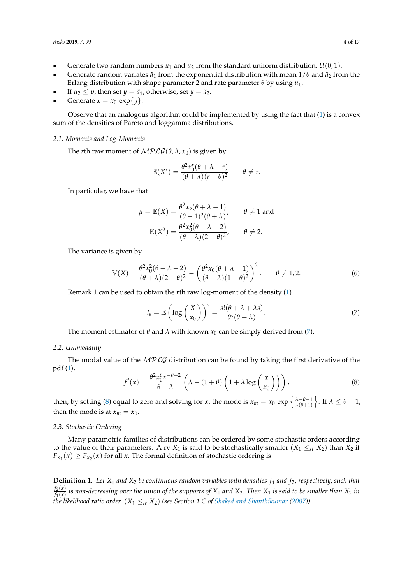- Generate two random numbers  $u_1$  and  $u_2$  from the standard uniform distribution,  $U(0, 1)$ .
- Generate random variates  $\tilde{a}_1$  from the exponential distribution with mean  $1/\theta$  and  $\tilde{a}_2$  from the Erlang distribution with shape parameter 2 and rate parameter *θ* by using *u*1.
- If  $u_2 \leq p$ , then set  $y = \tilde{a}_1$ ; otherwise, set  $y = \tilde{a}_2$ .
- Generate  $x = x_0 \exp\{y\}$ .

Observe that an analogous algorithm could be implemented by using the fact that [\(1\)](#page-1-1) is a convex sum of the densities of Pareto and loggamma distributions.

# *2.1. Moments and Log-Moments*

The *r*th raw moment of  $\mathcal{MPLG}(\theta, \lambda, x_0)$  is given by

$$
\mathbb{E}(X^r) = \frac{\theta^2 x_0^r (\theta + \lambda - r)}{(\theta + \lambda)(r - \theta)^2} \qquad \theta \neq r.
$$

In particular, we have that

$$
\mu = \mathbb{E}(X) = \frac{\theta^2 x_0 (\theta + \lambda - 1)}{(\theta - 1)^2 (\theta + \lambda)}, \qquad \theta \neq 1 \text{ and}
$$

$$
\mathbb{E}(X^2) = \frac{\theta^2 x_0^2 (\theta + \lambda - 2)}{(\theta + \lambda)(2 - \theta)^2}, \qquad \theta \neq 2.
$$

The variance is given by

$$
\mathbb{V}(X) = \frac{\theta^2 x_0^2 (\theta + \lambda - 2)}{(\theta + \lambda)(2 - \theta)^2} - \left(\frac{\theta^2 x_0 (\theta + \lambda - 1)}{(\theta + \lambda)(1 - \theta)^2}\right)^2, \qquad \theta \neq 1, 2.
$$
 (6)

Remark 1 can be used to obtain the *r*th raw log-moment of the density [\(1\)](#page-1-1)

<span id="page-3-0"></span>
$$
l_s = \mathbb{E}\left(\log\left(\frac{X}{x_0}\right)\right)^s = \frac{s!(\theta + \lambda + \lambda s)}{\theta^s(\theta + \lambda)}.
$$
\n(7)

The moment estimator of  $\theta$  and  $\lambda$  with known  $x_0$  can be simply derived from [\(7\)](#page-3-0).

# *2.2. Unimodality*

The modal value of the  $MPLG$  distribution can be found by taking the first derivative of the pdf [\(1\)](#page-1-1),

<span id="page-3-1"></span>
$$
f'(x) = \frac{\theta^2 x_0^{\theta} x^{-\theta - 2}}{\theta + \lambda} \left( \lambda - (1 + \theta) \left( 1 + \lambda \log \left( \frac{x}{x_0} \right) \right) \right),\tag{8}
$$

then, by setting [\(8\)](#page-3-1) equal to zero and solving for *x*, the mode is  $x_m = x_0 \exp \left\{ \frac{\lambda - \theta - 1}{\lambda(\theta + 1)} \right\}$  $\Big\}$ . If  $\lambda \leq \theta + 1$ , then the mode is at  $x_m = x_0$ .

#### *2.3. Stochastic Ordering*

Many parametric families of distributions can be ordered by some stochastic orders according to the value of their parameters. A rv  $X_1$  is said to be stochastically smaller  $(X_1 \leq_{st} X_2)$  than  $X_2$  if  $F_{X_1}(x) \geq F_{X_2}(x)$  for all *x*. The formal definition of stochastic ordering is

**Definition 1.** Let  $X_1$  and  $X_2$  be continuous random variables with densities  $f_1$  and  $f_2$ , respectively, such that  $f_2(x)$  $f_{1}(x)$  is non-decreasing over the union of the supports of  $X_1$  and  $X_2$ . Then  $X_1$  is said to be smaller than  $X_2$  in *the likelihood ratio order.*  $(X_1 \leq_{lr} X_2)$  *(see Section 1.C of [Shaked and Shanthikumar](#page-15-10) [\(2007\)](#page-15-10)).*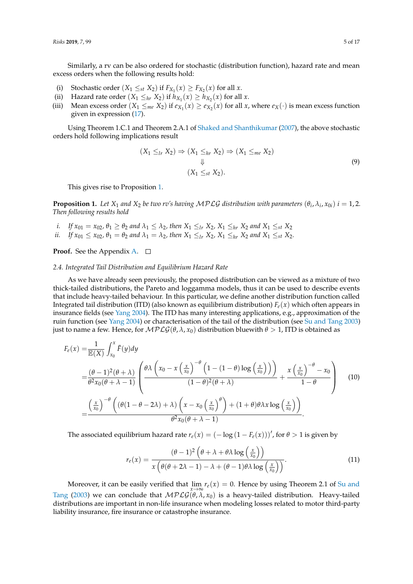Similarly, a rv can be also ordered for stochastic (distribution function), hazard rate and mean excess orders when the following results hold:

- (i) Stochastic order  $(X_1 \leq_{st} X_2)$  if  $F_{X_1}(x) \geq F_{X_2}(x)$  for all  $x$ .
- (ii) Hazard rate order  $(X_1 \leq_{hr} X_2)$  if  $h_{X_1}(x) \geq h_{X_2}(x)$  for all *x*.
- (iii) Mean excess order  $(X_1 \leq_{me} X_2)$  if  $e_{X_1}(x) \geq e_{X_2}(x)$  for all  $x$ , where  $e_X(\cdot)$  is mean excess function given in expression [\(17\)](#page-8-1).

Using Theorem 1.C.1 and Theorem 2.A.1 of [Shaked and Shanthikumar](#page-15-10) [\(2007\)](#page-15-10), the above stochastic orders hold following implications result

<span id="page-4-1"></span>
$$
(X_1 \leq_{lr} X_2) \Rightarrow (X_1 \leq_{hr} X_2) \Rightarrow (X_1 \leq_{me} X_2)
$$
  

$$
\downarrow \qquad (X_1 \leq_{st} X_2).
$$
 (9)

This gives rise to Proposition [1.](#page-4-0)

<span id="page-4-0"></span>**Proposition 1.** Let  $X_1$  and  $X_2$  be two rv's having MPLG distribution with parameters  $(\theta_i, \lambda_i, x_{0i})$   $i = 1, 2$ . *Then following results hold*

- *i. If*  $x_{01} = x_{02}$ ,  $\theta_1 \ge \theta_2$  *and*  $\lambda_1 \le \lambda_2$ , *then*  $X_1 \le_{lr} X_2$ ,  $X_1 \le_{hr} X_2$  *and*  $X_1 \le_{st} X_2$
- *ii. If*  $x_{01} \le x_{02}$ ,  $\theta_1 = \theta_2$  and  $\lambda_1 = \lambda_2$ , then  $X_1 \le x_{11}$ ,  $X_2$ ,  $X_1 \le x_{12}$  and  $X_1 \le x_{12}$ .

**Proof.** See the Appendix [A.](#page-13-0)  $\Box$ 

#### *2.4. Integrated Tail Distribution and Equilibrium Hazard Rate*

As we have already seen previously, the proposed distribution can be viewed as a mixture of two thick-tailed distributions, the Pareto and loggamma models, thus it can be used to describe events that include heavy-tailed behaviour. In this particular, we define another distribution function called Integrated tail distribution (ITD) (also known as equilibrium distribution)  $F_e(x)$  which often appears in insurance fields (see [Yang](#page-16-0) [2004\)](#page-16-0). The ITD has many interesting applications, e.g., approximation of the ruin function (see [Yang](#page-16-0) [2004\)](#page-16-0) or characterisation of the tail of the distribution (see [Su and Tang](#page-15-11) [2003\)](#page-15-11) just to name a few. Hence, for  $MPLG(\theta, \lambda, x_0)$  distribution bluewith  $\theta > 1$ , ITD is obtained as

$$
F_e(x) = \frac{1}{\mathbb{E}(X)} \int_{x_0}^x \bar{F}(y) dy
$$
  
=  $\frac{(\theta - 1)^2 (\theta + \lambda)}{\theta^2 x_0 (\theta + \lambda - 1)} \left( \frac{\theta \lambda \left( x_0 - x \left( \frac{x}{x_0} \right)^{-\theta} \left( 1 - (1 - \theta) \log \left( \frac{x}{x_0} \right) \right) \right)}{(1 - \theta)^2 (\theta + \lambda)} + \frac{x \left( \frac{x}{x_0} \right)^{-\theta} - x_0}{1 - \theta} \right)$  (10)  
=  $\frac{\left( \frac{x}{x_0} \right)^{-\theta} \left( (\theta (1 - \theta - 2\lambda) + \lambda) \left( x - x_0 \left( \frac{x}{x_0} \right)^{\theta} \right) + (1 + \theta) \theta \lambda x \log \left( \frac{x}{x_0} \right) \right)}{\theta^2 x_0 (\theta + \lambda - 1)}.$ 

The associated equilibrium hazard rate  $r_e(x) = (-\log(1-F_e(x)))'$ , for  $\theta > 1$  is given by

$$
r_e(x) = \frac{(\theta - 1)^2 \left(\theta + \lambda + \theta \lambda \log\left(\frac{x}{x_0}\right)\right)}{x \left(\theta(\theta + 2\lambda - 1) - \lambda + (\theta - 1)\theta \lambda \log\left(\frac{x}{x_0}\right)\right)}.
$$
(11)

Moreover, it can be easily verified that  $\lim_{x\to\infty} r_e(x) = 0$ . Hence by using Theorem 2.1 of [Su and](#page-15-11) [Tang](#page-15-11) [\(2003\)](#page-15-11) we can conclude that  $MPLG(\theta, \lambda, x_0)$  is a heavy-tailed distribution. Heavy-tailed distributions are important in non-life insurance when modeling losses related to motor third-party liability insurance, fire insurance or catastrophe insurance.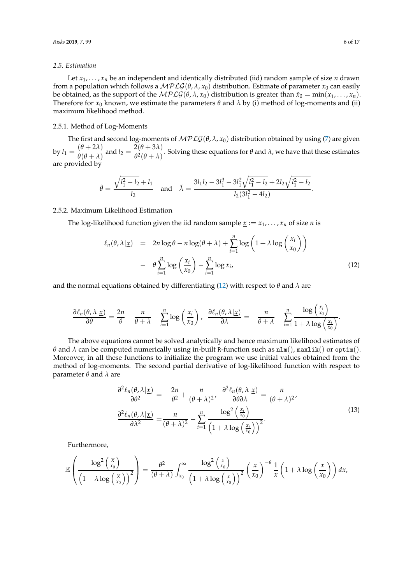#### *2.5. Estimation*

Let  $x_1, \ldots, x_n$  be an independent and identically distributed (iid) random sample of size *n* drawn from a population which follows a  $MPLG(\theta, \lambda, x_0)$  distribution. Estimate of parameter  $x_0$  can easily be obtained, as the support of the  $MPLG(\theta, \lambda, x_0)$  distribution is greater than  $\hat{x}_0 = \min(x_1, \ldots, x_n)$ . Therefore for  $x_0$  known, we estimate the parameters  $\theta$  and  $\lambda$  by (i) method of log-moments and (ii) maximum likelihood method.

# 2.5.1. Method of Log-Moments

The first and second log-moments of  $MPLG(\theta, \lambda, x_0)$  distribution obtained by using [\(7\)](#page-3-0) are given by  $l_1 = \frac{(\theta + 2\lambda)}{\theta(\theta + \lambda)}$  $\frac{(\theta + 2\lambda)}{\theta(\theta + \lambda)}$  and  $l_2 = \frac{2(\theta + 3\lambda)}{\theta^2(\theta + \lambda)}$  $\frac{P(Y|Y|)}{\theta^2(\theta+\lambda)}$ . Solving these equations for *θ* and *λ*, we have that these estimates are provided by

$$
\tilde{\theta} = \frac{\sqrt{l_1^2 - l_2} + l_1}{l_2} \quad \text{and} \quad \tilde{\lambda} = \frac{3l_1l_2 - 3l_1^3 - 3l_1^2\sqrt{l_1^2 - l_2} + 2l_2\sqrt{l_1^2 - l_2}}{l_2(3l_1^2 - 4l_2)}.
$$

2.5.2. Maximum Likelihood Estimation

The log-likelihood function given the iid random sample  $\underline{x} := x_1, \dots, x_n$  of size *n* is

<span id="page-5-0"></span>
$$
\ell_n(\theta, \lambda | \underline{x}) = 2n \log \theta - n \log(\theta + \lambda) + \sum_{i=1}^n \log \left( 1 + \lambda \log \left( \frac{x_i}{x_0} \right) \right)
$$

$$
- \theta \sum_{i=1}^n \log \left( \frac{x_i}{x_0} \right) - \sum_{i=1}^n \log x_i, \tag{12}
$$

and the normal equations obtained by differentiating [\(12\)](#page-5-0) with respect to  $\theta$  and  $\lambda$  are

$$
\frac{\partial \ell_n(\theta,\lambda|\underline{x})}{\partial \theta} = \frac{2n}{\theta} - \frac{n}{\theta+\lambda} - \sum_{i=1}^n \log\left(\frac{x_i}{x_0}\right), \quad \frac{\partial \ell_n(\theta,\lambda|\underline{x})}{\partial \lambda} = -\frac{n}{\theta+\lambda} - \sum_{i=1}^n \frac{\log\left(\frac{x_i}{x_0}\right)}{1+\lambda \log\left(\frac{x_i}{x_0}\right)}.
$$

The above equations cannot be solved analytically and hence maximum likelihood estimates of *θ* and *λ* can be computed numerically using in-built R-function such as  $nlm()$ , maxlik() or optim(). Moreover, in all these functions to initialize the program we use initial values obtained from the method of log-moments. The second partial derivative of log-likelihood function with respect to parameter *θ* and *λ* are

$$
\frac{\partial^2 \ell_n(\theta, \lambda | \underline{x})}{\partial \theta^2} = -\frac{2n}{\theta^2} + \frac{n}{(\theta + \lambda)^2}, \quad \frac{\partial^2 \ell_n(\theta, \lambda | \underline{x})}{\partial \theta \partial \lambda} = \frac{n}{(\theta + \lambda)^2},
$$

$$
\frac{\partial^2 \ell_n(\theta, \lambda | \underline{x})}{\partial \lambda^2} = \frac{n}{(\theta + \lambda)^2} - \sum_{i=1}^n \frac{\log^2 \left(\frac{x_i}{x_0}\right)}{\left(1 + \lambda \log \left(\frac{x_i}{x_0}\right)\right)^2}.
$$
(13)

Furthermore,

$$
\mathbb{E}\left(\frac{\log^2\left(\frac{x}{x_0}\right)}{\left(1+\lambda\log\left(\frac{x}{x_0}\right)\right)^2}\right)=\frac{\theta^2}{(\theta+\lambda)}\int_{x_0}^{\infty}\frac{\log^2\left(\frac{x}{x_0}\right)}{\left(1+\lambda\log\left(\frac{x}{x_0}\right)\right)^2}\left(\frac{x}{x_0}\right)^{-\theta}\frac{1}{x}\left(1+\lambda\log\left(\frac{x}{x_0}\right)\right)dx,
$$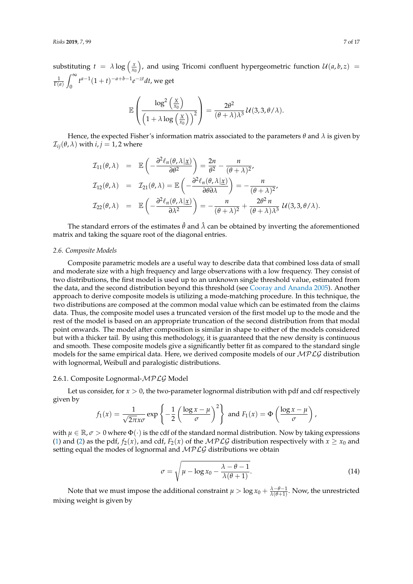substituting  $t = \lambda \log \left( \frac{x}{x_0} \right)$ ), and using Tricomi confluent hypergeometric function  $\mathcal{U}(a, b, z) =$  $\frac{1}{\Gamma(a)}$  $\int_0^\infty$  $\int_{0}^{\infty} t^{a-1}(1+t)^{-a+b-1}e^{-zt}dt$ , we get

$$
\mathbb{E}\left(\frac{\log^2\left(\frac{X}{x_0}\right)}{\left(1+\lambda\log\left(\frac{X}{x_0}\right)\right)^2}\right)=\frac{2\theta^2}{(\theta+\lambda)\lambda^3}\,\mathcal{U}(3,3,\theta/\lambda).
$$

Hence, the expected Fisher's information matrix associated to the parameters  $\theta$  and  $\lambda$  is given by  $\mathcal{I}_{ij}(\theta, \lambda)$  with  $i, j = 1, 2$  where

$$
I_{11}(\theta,\lambda) = \mathbb{E}\left(-\frac{\partial^2 \ell_n(\theta,\lambda|\underline{x})}{\partial \theta^2}\right) = \frac{2n}{\theta^2} - \frac{n}{(\theta+\lambda)^2},
$$
  
\n
$$
I_{12}(\theta,\lambda) = I_{21}(\theta,\lambda) = \mathbb{E}\left(-\frac{\partial^2 \ell_n(\theta,\lambda|\underline{x})}{\partial \theta \partial \lambda}\right) = -\frac{n}{(\theta+\lambda)^2},
$$
  
\n
$$
I_{22}(\theta,\lambda) = \mathbb{E}\left(-\frac{\partial^2 \ell_n(\theta,\lambda|\underline{x})}{\partial \lambda^2}\right) = -\frac{n}{(\theta+\lambda)^2} + \frac{2\theta^2 n}{(\theta+\lambda)\lambda^3} U(3,3,\theta/\lambda).
$$

The standard errors of the estimates  $\hat{\theta}$  and  $\hat{\lambda}$  can be obtained by inverting the aforementioned matrix and taking the square root of the diagonal entries.

#### *2.6. Composite Models*

Composite parametric models are a useful way to describe data that combined loss data of small and moderate size with a high frequency and large observations with a low frequency. They consist of two distributions, the first model is used up to an unknown single threshold value, estimated from the data, and the second distribution beyond this threshold (see [Cooray and Ananda](#page-15-5) [2005\)](#page-15-5). Another approach to derive composite models is utilizing a mode-matching procedure. In this technique, the two distributions are composed at the common modal value which can be estimated from the claims data. Thus, the composite model uses a truncated version of the first model up to the mode and the rest of the model is based on an appropriate truncation of the second distribution from that modal point onwards. The model after composition is similar in shape to either of the models considered but with a thicker tail. By using this methodology, it is guaranteed that the new density is continuous and smooth. These composite models give a significantly better fit as compared to the standard single models for the same empirical data. Here, we derived composite models of our  $MPLG$  distribution with lognormal, Weibull and paralogistic distributions.

#### 2.6.1. Composite Lognormal-MPLG Model

Let us consider, for  $x > 0$ , the two-parameter lognormal distribution with pdf and cdf respectively given by

$$
f_1(x) = \frac{1}{\sqrt{2\pi}x\sigma} \exp\left\{-\frac{1}{2}\left(\frac{\log x - \mu}{\sigma}\right)^2\right\} \text{ and } F_1(x) = \Phi\left(\frac{\log x - \mu}{\sigma}\right),
$$

with  $\mu \in \mathbb{R}, \sigma > 0$  where  $\Phi(\cdot)$  is the cdf of the standard normal distribution. Now by taking expressions [\(1\)](#page-1-1) and [\(2\)](#page-1-3) as the pdf,  $f_2(x)$ , and cdf,  $F_2(x)$  of the  $MPLG$  distribution respectively with  $x \ge x_0$  and setting equal the modes of lognormal and  $MPLG$  distributions we obtain

$$
\sigma = \sqrt{\mu - \log x_0 - \frac{\lambda - \theta - 1}{\lambda(\theta + 1)}}.
$$
\n(14)

Note that we must impose the additional constraint  $\mu > \log x_0 + \frac{\lambda - \theta - 1}{\lambda(\theta + 1)}$ . Now, the unrestricted mixing weight is given by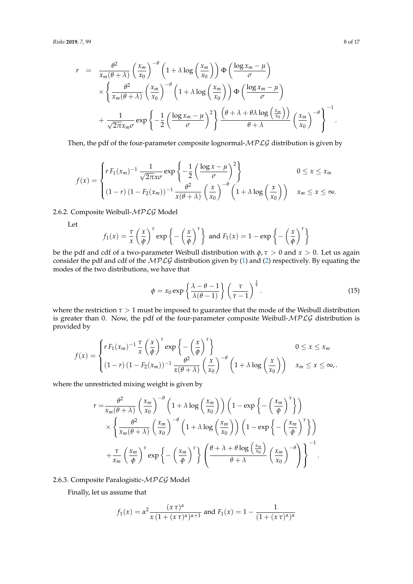$$
r = \frac{\theta^2}{x_m(\theta + \lambda)} \left(\frac{x_m}{x_0}\right)^{-\theta} \left(1 + \lambda \log\left(\frac{x_m}{x_0}\right)\right) \Phi\left(\frac{\log x_m - \mu}{\sigma}\right)
$$
  
\$\times \left\{\frac{\theta^2}{x\_m(\theta + \lambda)} \left(\frac{x\_m}{x\_0}\right)^{-\theta} \left(1 + \lambda \log\left(\frac{x\_m}{x\_0}\right)\right) \Phi\left(\frac{\log x\_m - \mu}{\sigma}\right)\right\}\$  
\$+ \frac{1}{\sqrt{2\pi}x\_m\sigma} \exp\left\{-\frac{1}{2} \left(\frac{\log x\_m - \mu}{\sigma}\right)^2\right\} \frac{\left(\theta + \lambda + \theta\lambda \log\left(\frac{x\_m}{x\_0}\right)\right)}{\theta + \lambda} \left(\frac{x\_m}{x\_0}\right)^{-\theta}\right\}^{-1}\$.

Then, the pdf of the four-parameter composite lognormal- $MPLG$  distribution is given by

$$
f(x) = \begin{cases} r F_1(x_m)^{-1} \frac{1}{\sqrt{2\pi} x \sigma} \exp\left\{-\frac{1}{2} \left(\frac{\log x - \mu}{\sigma}\right)^2\right\} & 0 \le x \le x_m \\ (1 - r) \left(1 - F_2(x_m)\right)^{-1} \frac{\theta^2}{x(\theta + \lambda)} \left(\frac{x}{x_0}\right)^{-\theta} \left(1 + \lambda \log\left(\frac{x}{x_0}\right)\right) & x_m \le x \le \infty. \end{cases}
$$

2.6.2. Composite Weibull-MPLG Model

Let

$$
f_1(x) = \frac{\tau}{x} \left(\frac{x}{\phi}\right)^{\tau} \exp\left\{-\left(\frac{x}{\phi}\right)^{\tau}\right\}
$$
 and  $F_1(x) = 1 - \exp\left\{-\left(\frac{x}{\phi}\right)^{\tau}\right\}$ 

be the pdf and cdf of a two-parameter Weibull distribution with  $\phi$ ,  $\tau > 0$  and  $x > 0$ . Let us again consider the pdf and cdf of the MPLG distribution given by [\(1\)](#page-1-1) and [\(2\)](#page-1-3) respectively. By equating the modes of the two distributions, we have that

$$
\phi = x_0 \exp\left\{\frac{\lambda - \theta - 1}{\lambda(\theta - 1)}\right\} \left(\frac{\tau}{\tau - 1}\right)^{\frac{1}{\tau}}.
$$
\n(15)

where the restriction  $\tau > 1$  must be imposed to guarantee that the mode of the Weibull distribution is greater than 0. Now, the pdf of the four-parameter composite Weibull- $MPLG$  distribution is provided by

$$
f(x) = \begin{cases} r F_1(x_m)^{-1} \frac{\tau}{x} \left(\frac{x}{\phi}\right)^{\tau} \exp\left\{-\left(\frac{x}{\phi}\right)^{\tau}\right\} & 0 \leq x \leq x_m \\ (1-r) \left(1 - F_2(x_m)\right)^{-1} \frac{\theta^2}{x(\theta + \lambda)} \left(\frac{x}{x_0}\right)^{-\theta} \left(1 + \lambda \log\left(\frac{x}{x_0}\right)\right) & x_m \leq x \leq \infty, \end{cases}
$$

where the unrestricted mixing weight is given by

$$
r = \frac{\theta^2}{x_m(\theta + \lambda)} \left(\frac{x_m}{x_0}\right)^{-\theta} \left(1 + \lambda \log\left(\frac{x_m}{x_0}\right)\right) \left(1 - \exp\left\{-\left(\frac{x_m}{\phi}\right)^{\tau}\right\}\right)
$$

$$
\times \left\{\frac{\theta^2}{x_m(\theta + \lambda)} \left(\frac{x_m}{x_0}\right)^{-\theta} \left(1 + \lambda \log\left(\frac{x_m}{x_0}\right)\right) \left(1 - \exp\left\{-\left(\frac{x_m}{\phi}\right)^{\tau}\right\}\right)
$$

$$
+ \frac{\tau}{x_m} \left(\frac{x_m}{\phi}\right)^{\tau} \exp\left\{-\left(\frac{x_m}{\phi}\right)^{\tau}\right\} \left(\frac{\theta + \lambda + \theta \log\left(\frac{x_m}{x_0}\right)}{\theta + \lambda} \left(\frac{x_m}{x_0}\right)^{-\theta}\right)\right\}^{-1}.
$$

2.6.3. Composite Paralogistic-MPLG Model

Finally, let us assume that

$$
f_1(x) = \alpha^2 \frac{(x \tau)^{\alpha}}{x (1 + (x \tau)^{\alpha})^{\alpha+1}}
$$
 and  $F_1(x) = 1 - \frac{1}{(1 + (x \tau)^{\alpha})^{\alpha}}$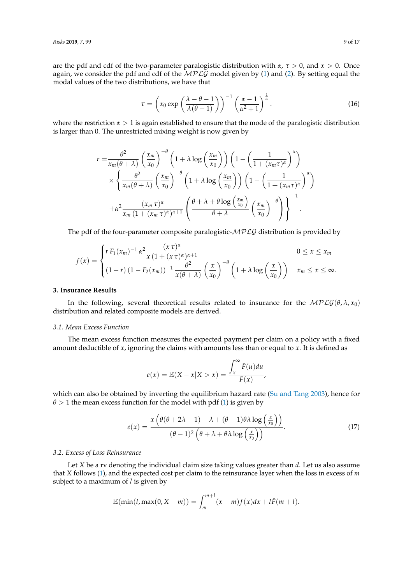are the pdf and cdf of the two-parameter paralogistic distribution with *α*, *τ* > 0, and *x* > 0. Once again, we consider the pdf and cdf of the  $MPLG$  model given by [\(1\)](#page-1-1) and [\(2\)](#page-1-3). By setting equal the modal values of the two distributions, we have that

$$
\tau = \left(x_0 \exp\left(\frac{\lambda - \theta - 1}{\lambda(\theta - 1)}\right)\right)^{-1} \left(\frac{\alpha - 1}{\alpha^2 + 1}\right)^{\frac{1}{\alpha}}.
$$
\n(16)

where the restriction  $\alpha > 1$  is again established to ensure that the mode of the paralogistic distribution is larger than 0. The unrestricted mixing weight is now given by

$$
r = \frac{\theta^2}{x_m(\theta + \lambda)} \left(\frac{x_m}{x_0}\right)^{-\theta} \left(1 + \lambda \log\left(\frac{x_m}{x_0}\right)\right) \left(1 - \left(\frac{1}{1 + (x_m \tau)^{\alpha}}\right)^{\alpha}\right)
$$
  
\$\times \left\{\frac{\theta^2}{x\_m(\theta + \lambda)} \left(\frac{x\_m}{x\_0}\right)^{-\theta} \left(1 + \lambda \log\left(\frac{x\_m}{x\_0}\right)\right) \left(1 - \left(\frac{1}{1 + (x\_m \tau)^{\alpha}}\right)^{\alpha}\right)\right\}\$  
\$+ \alpha^2 \frac{(x\_m \tau)^{\alpha}}{x\_m (1 + (x\_m \tau)^{\alpha})^{\alpha+1}} \left(\frac{\theta + \lambda + \theta \log\left(\frac{x\_m}{x\_0}\right)}{\theta + \lambda} \left(\frac{x\_m}{x\_0}\right)^{-\theta}\right)\right\}^{-1}\$.

The pdf of the four-parameter composite paralogistic- $MPLG$  distribution is provided by

$$
f(x) = \begin{cases} r F_1(x_m)^{-1} \alpha^2 \frac{(x \tau)^{\alpha}}{x (1 + (x \tau)^{\alpha})^{\alpha+1}} & 0 \leq x \leq x_m \\ (1 - r) (1 - F_2(x_m))^{-1} \frac{\theta^2}{x (\theta + \lambda)} \left(\frac{x}{x_0}\right)^{-\theta} \left(1 + \lambda \log\left(\frac{x}{x_0}\right)\right) & x_m \leq x \leq \infty. \end{cases}
$$

#### <span id="page-8-0"></span>**3. Insurance Results**

In the following, several theoretical results related to insurance for the  $MPLG(\theta, \lambda, x_0)$ distribution and related composite models are derived.

#### *3.1. Mean Excess Function*

The mean excess function measures the expected payment per claim on a policy with a fixed amount deductible of *x*, ignoring the claims with amounts less than or equal to *x*. It is defined as

$$
e(x) = \mathbb{E}(X - x | X > x) = \frac{\int_x^{\infty} \bar{F}(u) du}{\bar{F}(x)},
$$

which can also be obtained by inverting the equilibrium hazard rate [\(Su and Tang](#page-15-11) [2003\)](#page-15-11), hence for  $\theta$  > 1 the mean excess function for the model with pdf [\(1\)](#page-1-1) is given by

<span id="page-8-1"></span>
$$
e(x) = \frac{x\left(\theta(\theta + 2\lambda - 1) - \lambda + (\theta - 1)\theta\lambda\log\left(\frac{x}{x_0}\right)\right)}{(\theta - 1)^2\left(\theta + \lambda + \theta\lambda\log\left(\frac{x}{x_0}\right)\right)}.
$$
(17)

#### *3.2. Excess of Loss Reinsurance*

Let *X* be a rv denoting the individual claim size taking values greater than *d*. Let us also assume that *X* follows [\(1\)](#page-1-1), and the expected cost per claim to the reinsurance layer when the loss in excess of *m* subject to a maximum of *l* is given by

$$
\mathbb{E}(\min(l, \max(0, X-m)) = \int_m^{m+l} (x-m)f(x)dx + l\bar{F}(m+l).
$$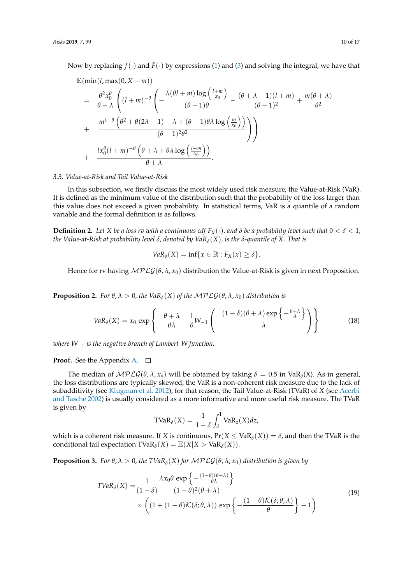Now by replacing  $f(\cdot)$  and  $\bar{F}(\cdot)$  by expressions [\(1\)](#page-1-1) and [\(3\)](#page-1-4) and solving the integral, we have that

$$
\mathbb{E}(\min(l, \max(0, X - m))
$$
\n
$$
= \frac{\theta^2 x_0^{\theta}}{\theta + \lambda} \left( (l + m)^{-\theta} \left( -\frac{\lambda(\theta l + m) \log\left(\frac{l + m}{x_0}\right)}{(\theta - 1)\theta} - \frac{(\theta + \lambda - 1)(l + m)}{(\theta - 1)^2} + \frac{m(\theta + \lambda)}{\theta^2} \right) \right)
$$
\n
$$
+ \frac{m^{1-\theta} \left( \theta^2 + \theta(2\lambda - 1) - \lambda + (\theta - 1)\theta\lambda \log\left(\frac{m}{x_0}\right) \right)}{(\theta - 1)^2 \theta^2} \right)
$$
\n
$$
+ \frac{l x_0^{\theta} (l + m)^{-\theta} \left( \theta + \lambda + \theta\lambda \log\left(\frac{l + m}{x_0}\right) \right)}{\theta + \lambda}.
$$

#### *3.3. Value-at-Risk and Tail Value-at-Risk*

In this subsection, we firstly discuss the most widely used risk measure, the Value-at-Risk (VaR). It is defined as the minimum value of the distribution such that the probability of the loss larger than this value does not exceed a given probability. In statistical terms, VaR is a quantile of a random variable and the formal definition is as follows.

**Definition 2.** Let *X* be a loss rv with a continuous cdf  $F_X(\cdot)$ , and  $\delta$  be a probability level such that  $0 < \delta < 1$ , *the Value-at-Risk at probability level δ, denoted by VaRδ*(*X*)*, is the δ-quantile of X. That is*

$$
VaR_{\delta}(X)=\inf\{x\in\mathbb{R}:F_X(x)\geq\delta\}.
$$

Hence for rv having MPLG(*θ*, *λ*, *x*0) distribution the Value-at-Risk is given in next Proposition.

**Proposition 2.** *For*  $\theta$ ,  $\lambda > 0$ , the VaR<sub>*δ*</sub>(*X*) *of the* MPLG( $\theta$ ,  $\lambda$ ,  $x_0$ ) *distribution is* 

<span id="page-9-0"></span>
$$
VaR_{\delta}(X) = x_0 \exp\left\{-\frac{\theta + \lambda}{\theta \lambda} - \frac{1}{\theta}W_{-1}\left(-\frac{(1-\delta)(\theta + \lambda)\exp\left\{-\frac{\theta + \lambda}{\lambda}\right\}}{\lambda}\right)\right\}
$$
(18)

*where W*−<sup>1</sup> *is the negative branch of Lambert-W function.*

# **Proof.** See the Appendix [A.](#page-13-0) □

The median of  $\mathcal{MPLG}(\theta, \lambda, x_o)$  will be obtained by taking  $\delta = 0.5$  in VaR<sub> $\delta$ </sub>(X). As in general, the loss distributions are typically skewed, the VaR is a non-coherent risk measure due to the lack of subadditivity (see [Klugman et al.](#page-15-12) [2012\)](#page-15-12), for that reason, the Tail Value-at-Risk (TVaR) of *X* (see [Acerbi](#page-15-13) [and Tasche](#page-15-13) [2002\)](#page-15-13) is usually considered as a more informative and more useful risk measure. The TVaR is given by

$$
\text{TVaR}_{\delta}(X) = \frac{1}{1-\delta} \int_{\delta}^{1} \text{VaR}_{z}(X) dz,
$$

which is a coherent risk measure. If *X* is continuous,  $Pr(X \leq VaR_{\delta}(X)) = \delta$ , and then the TVaR is the conditional tail expectation  $TVaR_{\delta}(X) = \mathbb{E}(X|X > VaR_{\delta}(X)).$ 

**Proposition 3.** *For*  $\theta$ ,  $\lambda > 0$ , the TVaR<sub>*δ*</sub>(*X*) *for*  $\mathcal{MPLG}(\theta, \lambda, x_0)$  *distribution is given by* 

$$
TVaR_{\delta}(X) = \frac{1}{(1-\delta)} \frac{\lambda x_0 \theta \exp\left\{-\frac{(1-\theta)(\theta+\lambda)}{\theta \lambda}\right\}}{(1-\theta)^2(\theta+\lambda)} \times \left((1+(1-\theta)\mathcal{K}(\delta;\theta,\lambda)) \exp\left\{-\frac{(1-\theta)\mathcal{K}(\delta;\theta,\lambda)}{\theta}\right\}-1\right)
$$
(19)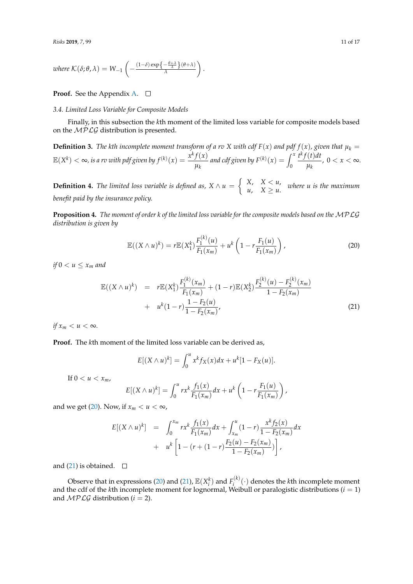where 
$$
\mathcal{K}(\delta; \theta, \lambda) = W_{-1}\left(-\frac{(1-\delta)\exp\left\{-\frac{\theta+\lambda}{\lambda}\right\}(\theta+\lambda)}{\lambda}\right).
$$

# **Proof.** See the Appendix [A.](#page-13-0)  $\Box$

# *3.4. Limited Loss Variable for Composite Models*

Finally, in this subsection the *k*th moment of the limited loss variable for composite models based on the  $MPLG$  distribution is presented.

**Definition 3.** The kth incomplete moment transform of a rv X with cdf  $F(x)$  and pdf  $f(x)$ , given that  $\mu_k =$  $\mathbb{E}(X^k) < \infty$ , is a rv with pdf given by  $f^{(k)}(x) = \frac{x^k f(x)}{x^k}$  $\frac{f(x)}{\mu_k}$  and cdf given by  $F^{(k)}(x) = \int_0^x$  $t^k f(t) dt$ *µk* ,  $0 < x < \infty$ .

**Definition 4.** *The limited loss variable is defined as,*  $X \wedge u = \begin{cases} X, & X < u, \\ u, & Y > u. \end{cases}$  $\begin{cases} \n\frac{1}{2} & \text{if } x \leq u, \\ \n\frac{1}{2} & \text{if } u \leq u. \n\end{cases}$  where *u* is the maximum *benefit paid by the insurance policy.*

**Proposition 4.** *The moment of order k of the limited loss variable for the composite models based on the* MPLG *distribution is given by*

<span id="page-10-0"></span>
$$
\mathbb{E}((X \wedge u)^k) = r \mathbb{E}(X_1^k) \frac{F_1^{(k)}(u)}{F_1(x_m)} + u^k \left(1 - r \frac{F_1(u)}{F_1(x_m)}\right),\tag{20}
$$

*if*  $0 < u \leq x_m$  *and* 

<span id="page-10-1"></span>
$$
\mathbb{E}((X \wedge u)^{k}) = r\mathbb{E}(X_{1}^{k})\frac{F_{1}^{(k)}(x_{m})}{F_{1}(x_{m})} + (1-r)\mathbb{E}(X_{2}^{k})\frac{F_{2}^{(k)}(u) - F_{2}^{(k)}(x_{m})}{1 - F_{2}(x_{m})} + u^{k}(1-r)\frac{1 - F_{2}(u)}{1 - F_{2}(x_{m})},
$$
\n(21)

*if*  $x_m < u < \infty$ .

**Proof.** The *k*th moment of the limited loss variable can be derived as,

$$
E[(X \wedge u)^k] = \int_0^u x^k f_X(x) dx + u^k [1 - F_X(u)].
$$

If  $0 < u < x_m$ ,

$$
E[(X \wedge u)^k] = \int_0^u r x^k \frac{f_1(x)}{F_1(x_m)} dx + u^k \left(1 - r \frac{F_1(u)}{F_1(x_m)}\right),
$$

and we get [\(20\)](#page-10-0). Now, if  $x_m < u < \infty$ ,

$$
E[(X \wedge u)^k] = \int_0^{x_m} rx^k \frac{f_1(x)}{F_1(x_m)} dx + \int_{x_m}^u (1 - r) \frac{x^k f_2(x)}{1 - F_2(x_m)} dx
$$
  
+  $u^k \left[ 1 - (r + (1 - r) \frac{F_2(u) - F_2(x_m)}{1 - F_2(x_m)}) \right],$ 

and [\(21\)](#page-10-1) is obtained.  $\square$ 

Observe that in expressions [\(20\)](#page-10-0) and [\(21\)](#page-10-1),  $\mathbb{E}(X_i^k)$  and  $F_i^{(k)}$  $\hat{h}^{(k)}(t)$  denotes the *k*th incomplete moment and the cdf of the *k*th incomplete moment for lognormal, Weibull or paralogistic distributions (*i* = 1) and  $MPLG$  distribution ( $i = 2$ ).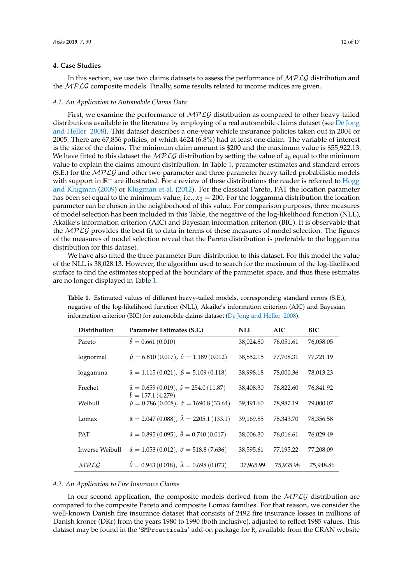# <span id="page-11-0"></span>**4. Case Studies**

In this section, we use two claims datasets to assess the performance of  $MPLG$  distribution and the  $MPLG$  composite models. Finally, some results related to income indices are given.

# *4.1. An Application to Automobile Claims Data*

First, we examine the performance of  $MPLG$  distribution as compared to other heavy-tailed distributions available in the literature by employing of a real automobile claims dataset (see [De Jong](#page-15-14) [and Heller](#page-15-14) [2008\)](#page-15-14). This dataset describes a one-year vehicle insurance policies taken out in 2004 or 2005. There are 67,856 policies, of which 4624 (6.8%) had at least one claim. The variable of interest is the size of the claims. The minimum claim amount is \$200 and the maximum value is \$55,922.13. We have fitted to this dataset the  $MPLG$  distribution by setting the value of  $x_0$  equal to the minimum value to explain the claims amount distribution. In Table [1,](#page-11-1) parameter estimates and standard errors (S.E.) for the  $MPLG$  and other two-parameter and three-parameter heavy-tailed probabilistic models with support in  $\mathbb{R}^+$  are illustrated. For a review of these distributions the reader is referred to [Hogg](#page-15-15) [and Klugman](#page-15-15) [\(2009\)](#page-15-15) or [Klugman et al.](#page-15-12) [\(2012\)](#page-15-12). For the classical Pareto, PAT the location parameter has been set equal to the minimum value, i.e.,  $x_0 = 200$ . For the loggamma distribution the location parameter can be chosen in the neighborhood of this value. For comparison purposes, three measures of model selection has been included in this Table, the negative of the log-likelihood function (NLL), Akaike's information criterion (AIC) and Bayesian information criterion (BIC). It is observable that the  $MPLG$  provides the best fit to data in terms of these measures of model selection. The figures of the measures of model selection reveal that the Pareto distribution is preferable to the loggamma distribution for this dataset.

We have also fitted the three-parameter Burr distribution to this dataset. For this model the value of the NLL is 38,028.13. However, the algorithm used to search for the maximum of the log-likelihood surface to find the estimates stopped at the boundary of the parameter space, and thus these estimates are no longer displayed in Table [1.](#page-11-1)

| Distribution    | Parameter Estimates (S.E.)                                                           | <b>NLL</b> | AIC       | BIC       |
|-----------------|--------------------------------------------------------------------------------------|------------|-----------|-----------|
| Pareto          | $\hat{\theta} = 0.661(0.010)$                                                        | 38,024.80  | 76,051.61 | 76,058.05 |
| lognormal       | $\hat{\mu} = 6.810 (0.017), \hat{\sigma} = 1.189 (0.012)$                            | 38,852.15  | 77,708.31 | 77,721.19 |
| loggamma        | $\hat{\alpha} = 1.115(0.021), \hat{\beta} = 5.109(0.118)$                            | 38,998.18  | 78,000.36 | 78,013.23 |
| Frechet         | $\hat{\alpha} = 0.659(0.019), \hat{\beta} = 254.0(11.87)$                            | 38,408.30  | 76,822.60 | 76,841.92 |
| Weibull         | $\hat{b} = 157.1(4.279)$<br>$\hat{\mu} = 0.786(0.008), \hat{\sigma} = 1690.8(33.64)$ | 39,491.60  | 78,987.19 | 79,000.07 |
| Lomax           | $\hat{\alpha} = 2.047 (0.088), \ \hat{\lambda} = 2205.1 (133.1)$                     | 39,169.85  | 78,343.70 | 78,356.58 |
| <b>PAT</b>      | $\hat{\alpha} = 0.895(0.095), \ \hat{\theta} = 0.740(0.017)$                         | 38,006.30  | 76,016.61 | 76,029.49 |
| Inverse Weibull | $\hat{\alpha} = 1.053(0.012), \ \hat{\sigma} = 518.8(7.636)$                         | 38,595.61  | 77,195.22 | 77,208.09 |
| MPLG            | $\hat{\theta} = 0.943(0.018), \ \hat{\lambda} = 0.698(0.073)$                        | 37,965.99  | 75,935.98 | 75,948.86 |

<span id="page-11-1"></span>**Table 1.** Estimated values of different heavy-tailed models, corresponding standard errors (S.E.), negative of the log-likelihood function (NLL), Akaike's information criterion (AIC) and Bayesian information criterion (BIC) for automobile claims dataset [\(De Jong and Heller](#page-15-14) [2008\)](#page-15-14).

#### *4.2. An Application to Fire Insurance Claims*

In our second application, the composite models derived from the  $MPLG$  distribution are compared to the composite Pareto and composite Lomax families. For that reason, we consider the well-known Danish fire insurance dataset that consists of 2492 fire insurance losses in millions of Danish kroner (DKr) from the years 1980 to 1990 (both inclusive), adjusted to reflect 1985 values. This dataset may be found in the 'SMPrcacticals' add-on package for R, available from the CRAN website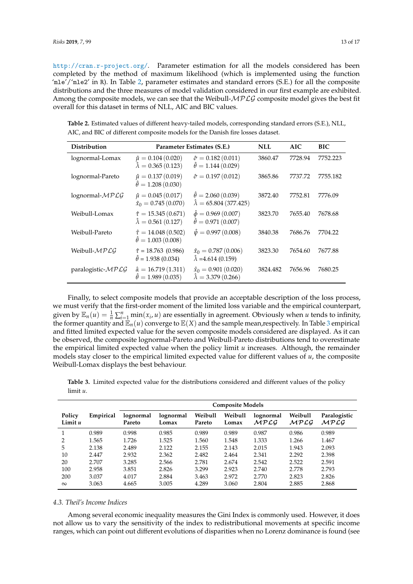<http://cran.r-project.org/>. Parameter estimation for all the models considered has been completed by the method of maximum likelihood (which is implemented using the function 'mle'/'mle2' in R). In Table [2,](#page-12-0) parameter estimates and standard errors (S.E.) for all the composite distributions and the three measures of model validation considered in our first example are exhibited. Among the composite models, we can see that the Weibull- $MPLG$  composite model gives the best fit overall for this dataset in terms of NLL, AIC and BIC values.

<span id="page-12-0"></span>**Table 2.** Estimated values of different heavy-tailed models, corresponding standard errors (S.E.), NLL, AIC, and BIC of different composite models for the Danish fire losses dataset.

| <b>Distribution</b> |                                                                 | Parameter Estimates (S.E.)                                         | <b>NLL</b> | AIC     | BIC      |
|---------------------|-----------------------------------------------------------------|--------------------------------------------------------------------|------------|---------|----------|
| lognormal-Lomax     | $\hat{\mu} = 0.104 (0.020)$<br>$\hat{\lambda} = 0.365(0.123)$   | $\hat{\sigma} = 0.182\,(0.011)$<br>$\hat{\theta} = 1.144(0.029)$   | 3860.47    | 7728.94 | 7752.223 |
| lognormal-Pareto    | $\hat{\mu} = 0.137(0.019)$<br>$\hat{\theta} = 1.208(0.030)$     | $\hat{\sigma} = 0.197 (0.012)$                                     | 3865.86    | 7737.72 | 7755.182 |
| lognormal- $MPLG$   | $\hat{\mu} = 0.045(0.017)$<br>$\hat{x}_0 = 0.745(0.070)$        | $\hat{\theta} = 2.060(0.039)$<br>$\hat{\lambda} = 65.804(377.425)$ | 3872.40    | 7752.81 | 7776.09  |
| Weibull-Lomax       | $\hat{\tau} = 15.345(0.671)$<br>$\hat{\lambda} = 0.561(0.127)$  | $\hat{\phi} = 0.969(0.007)$<br>$\hat{\theta} = 0.971(0.007)$       | 3823.70    | 7655.40 | 7678.68  |
| Weibull-Pareto      | $\hat{\tau} = 14.048(0.502)$<br>$\hat{\theta} = 1.003(0.008)$   | $\hat{\psi} = 0.997(0.008)$                                        | 3840.38    | 7686.76 | 7704.22  |
| Weibull- $MPLG$     | $\hat{\tau} = 18.763$ (0.986)<br>$\hat{\theta} = 1.938(0.034)$  | $\hat{x}_0 = 0.787(0.006)$<br>$\hat{\lambda} = 4.614(0.159)$       | 3823.30    | 7654.60 | 7677.88  |
| paralogistic-MPLG   | $\hat{\alpha} = 16.719(1.311)$<br>$\hat{\theta} = 1.989(0.035)$ | $\hat{x}_0 = 0.901(0.020)$<br>$\hat{\lambda} = 3.379(0.266)$       | 3824.482   | 7656.96 | 7680.25  |

Finally, to select composite models that provide an acceptable description of the loss process, we must verify that the first-order moment of the limited loss variable and the empirical counterpart, given by  $\mathbb{E}_n(u) = \frac{1}{n} \sum_{i=1}^n \min(x_i, u)$  are essentially in agreement. Obviously when *u* tends to infinity, the former quantity and  $\mathbb{E}_n(u)$  converge to  $\mathbb{E}(X)$  and the sample mean, respectively. In Table [3](#page-12-1) empirical and fitted limited expected value for the seven composite models considered are displayed. As it can be observed, the composite lognormal-Pareto and Weibull-Pareto distributions tend to overestimate the empirical limited expected value when the policy limit *u* increases. Although, the remainder models stay closer to the empirical limited expected value for different values of *u*, the composite Weibull-Lomax displays the best behaviour.

<span id="page-12-1"></span>**Table 3.** Limited expected value for the distributions considered and different values of the policy limit *u*.

|                     |           | <b>Composite Models</b> |                    |                   |                  |                   |                 |                      |
|---------------------|-----------|-------------------------|--------------------|-------------------|------------------|-------------------|-----------------|----------------------|
| Policy<br>Limit $u$ | Empirical | lognormal<br>Pareto     | lognormal<br>Lomax | Weibull<br>Pareto | Weibull<br>Lomax | lognormal<br>MPLG | Weibull<br>MPLG | Paralogistic<br>MPLG |
|                     | 0.989     | 0.998                   | 0.985              | 0.989             | 0.989            | 0.987             | 0.986           | 0.989                |
| $\mathcal{P}$       | 1.565     | 1.726                   | 1.525              | 1.560             | 1.548            | 1.333             | 1.266           | 1.467                |
| 5                   | 2.138     | 2.489                   | 2.122              | 2.155             | 2.143            | 2.015             | 1.943           | 2.093                |
| 10                  | 2.447     | 2.932                   | 2.362              | 2.482             | 2.464            | 2.341             | 2.292           | 2.398                |
| 20                  | 2.707     | 3.285                   | 2.566              | 2.781             | 2.674            | 2.542             | 2.522           | 2.591                |
| 100                 | 2.958     | 3.851                   | 2.826              | 3.299             | 2.923            | 2.740             | 2.778           | 2.793                |
| 200                 | 3.037     | 4.017                   | 2.884              | 3.463             | 2.972            | 2.770             | 2.823           | 2.826                |
| $\infty$            | 3.063     | 4.665                   | 3.005              | 4.289             | 3.060            | 2.804             | 2.885           | 2.868                |

## *4.3. Theil's Income Indices*

Among several economic inequality measures the Gini Index is commonly used. However, it does not allow us to vary the sensitivity of the index to redistributional movements at specific income ranges, which can point out different evolutions of disparities when no Lorenz dominance is found (see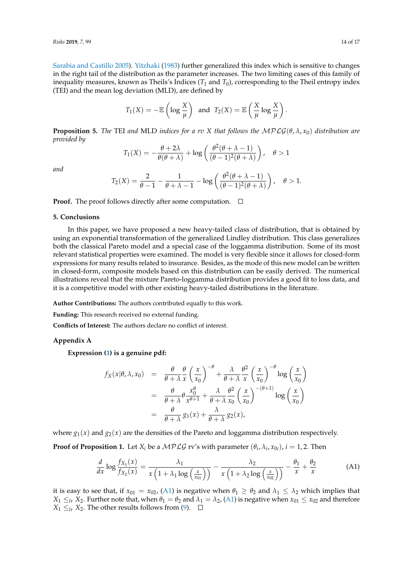[Sarabia and Castillo](#page-15-16) [2005\)](#page-15-16). [Yitzhaki](#page-16-1) [\(1983\)](#page-16-1) further generalized this index which is sensitive to changes in the right tail of the distribution as the parameter increases. The two limiting cases of this family of inequality measures, known as Theils's Indices  $(T_1$  and  $T_0$ ), corresponding to the Theil entropy index (TEI) and the mean log deviation (MLD), are defined by

$$
T_1(X) = -\mathbb{E}\left(\log \frac{X}{\mu}\right)
$$
 and  $T_2(X) = \mathbb{E}\left(\frac{X}{\mu}\log \frac{X}{\mu}\right)$ .

**Proposition 5.** *The* TEI *and* MLD *indices for a rv X that follows the*  $MPLG(\theta, \lambda, x_0)$  *distribution are provided by*

$$
T_1(X) = -\frac{\theta + 2\lambda}{\theta(\theta + \lambda)} + \log\left(\frac{\theta^2(\theta + \lambda - 1)}{(\theta - 1)^2(\theta + \lambda)}\right), \quad \theta > 1
$$

*and*

$$
T_2(X) = \frac{2}{\theta - 1} - \frac{1}{\theta + \lambda - 1} - \log\left(\frac{\theta^2(\theta + \lambda - 1)}{(\theta - 1)^2(\theta + \lambda)}\right), \quad \theta > 1.
$$

**Proof.** The proof follows directly after some computation.  $\Box$ 

# **5. Conclusions**

In this paper, we have proposed a new heavy-tailed class of distribution, that is obtained by using an exponential transformation of the generalized Lindley distribution. This class generalizes both the classical Pareto model and a special case of the loggamma distribution. Some of its most relevant statistical properties were examined. The model is very flexible since it allows for closed-form expressions for many results related to insurance. Besides, as the mode of this new model can be written in closed-form, composite models based on this distribution can be easily derived. The numerical illustrations reveal that the mixture Pareto-loggamma distribution provides a good fit to loss data, and it is a competitive model with other existing heavy-tailed distributions in the literature.

**Author Contributions:** The authors contributed equally to this work.

**Funding:** This research received no external funding.

**Conflicts of Interest:** The authors declare no conflict of interest.

# <span id="page-13-0"></span>**Appendix A**

**Expression [\(1\)](#page-1-1) is a genuine pdf:**

$$
f_X(x|\theta, \lambda, x_0) = \frac{\theta}{\theta + \lambda} \frac{\theta}{x} \left(\frac{x}{x_0}\right)^{-\theta} + \frac{\lambda}{\theta + \lambda} \frac{\theta^2}{x} \left(\frac{x}{x_0}\right)^{-\theta} \log\left(\frac{x}{x_0}\right)
$$
  

$$
= \frac{\theta}{\theta + \lambda} \theta \frac{x_0^{\theta}}{x^{\theta + 1}} + \frac{\lambda}{\theta + \lambda} \frac{\theta^2}{x_0} \left(\frac{x}{x_0}\right)^{-(\theta + 1)} \log\left(\frac{x}{x_0}\right)
$$
  

$$
= \frac{\theta}{\theta + \lambda} g_1(x) + \frac{\lambda}{\theta + \lambda} g_2(x),
$$

where  $g_1(x)$  and  $g_2(x)$  are the densities of the Pareto and loggamma distribution respectively.

**Proof of Proposition 1.** Let  $X_i$  be a  $\mathcal{MPLG}$  rv's with parameter  $(\theta_i, \lambda_i, x_{0i})$ ,  $i = 1, 2$ . Then

<span id="page-13-1"></span>
$$
\frac{d}{dx}\log\frac{f_{X_1}(x)}{f_{X_2}(x)} = \frac{\lambda_1}{x\left(1 + \lambda_1\log\left(\frac{x}{x_{01}}\right)\right)} - \frac{\lambda_2}{x\left(1 + \lambda_2\log\left(\frac{x}{x_{02}}\right)\right)} - \frac{\theta_1}{x} + \frac{\theta_2}{x}
$$
(A1)

it is easy to see that, if  $x_{01} = x_{02}$ , [\(A1\)](#page-13-1) is negative when  $\theta_1 \ge \theta_2$  and  $\lambda_1 \le \lambda_2$  which implies that *X*<sub>1</sub>  $\leq$ <sub>*lr*</sub> *X*<sub>2</sub>. Further note that, when  $\theta_1 = \theta_2$  and  $\lambda_1 = \lambda_2$ , [\(A1\)](#page-13-1) is negative when  $x_{01} \leq x_{02}$  and therefore *X*<sup>1</sup> ≤*lr X*<sup>2</sup>. The other results follows from [\(9\)](#page-4-1).  $□$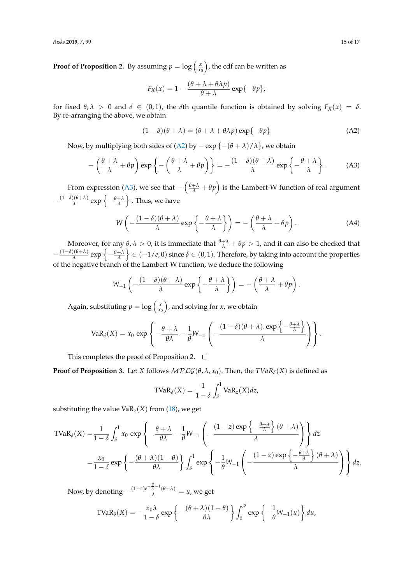**Proof of Proposition 2.** By assuming  $p = \log \left( \frac{x}{x_0} \right)$ , the cdf can be written as

$$
F_X(x) = 1 - \frac{(\theta + \lambda + \theta \lambda p)}{\theta + \lambda} \exp{\{-\theta p\}},
$$

for fixed  $\theta$ ,  $\lambda > 0$  and  $\delta \in (0,1)$ , the  $\delta$ th quantile function is obtained by solving  $F_X(x) = \delta$ . By re-arranging the above, we obtain

<span id="page-14-0"></span>
$$
(1 - \delta)(\theta + \lambda) = (\theta + \lambda + \theta \lambda p) \exp{-\theta p}
$$
 (A2)

Now, by multiplying both sides of [\(A2\)](#page-14-0) by − exp {−(*θ* + *λ*)/*λ*}, we obtain

<span id="page-14-1"></span>
$$
-\left(\frac{\theta+\lambda}{\lambda}+\theta p\right)\exp\left\{-\left(\frac{\theta+\lambda}{\lambda}+\theta p\right)\right\}=-\frac{(1-\delta)(\theta+\lambda)}{\lambda}\exp\left\{-\frac{\theta+\lambda}{\lambda}\right\}.
$$
 (A3)

From expression [\(A3\)](#page-14-1), we see that  $-\left(\frac{\theta+\lambda}{\lambda}+\theta p\right)$  is the Lambert-W function of real argument  $-\frac{(1-\delta)(\theta+\lambda)}{\lambda}$  $\frac{\partial (\theta + \lambda)}{\partial \lambda}$  exp  $\left\{ - \frac{\theta + \lambda}{\lambda} \right\}$  . Thus, we have

$$
W\left(-\frac{(1-\delta)(\theta+\lambda)}{\lambda}\exp\left\{-\frac{\theta+\lambda}{\lambda}\right\}\right) = -\left(\frac{\theta+\lambda}{\lambda}+\theta p\right).
$$
 (A4)

Moreover, for any  $\theta$ ,  $\lambda > 0$ , it is immediate that  $\frac{\theta + \lambda}{\lambda} + \theta p > 1$ , and it can also be checked that  $-\frac{(1-\delta)(\theta+\lambda)}{\lambda}$  $\frac{\rho(\theta+\lambda)}{\lambda}$  exp  $\left\{-\frac{\theta+\lambda}{\lambda}\right\}\in(-1/e,0)$  since  $\delta\in(0,1).$  Therefore, by taking into account the properties of the negative branch of the Lambert-W function, we deduce the following

$$
W_{-1}\left(-\frac{(1-\delta)(\theta+\lambda)}{\lambda}\exp\left\{-\frac{\theta+\lambda}{\lambda}\right\}\right)=-\left(\frac{\theta+\lambda}{\lambda}+\theta p\right).
$$

Again, substituting  $p = \log\left(\frac{x}{x_0}\right)$ , and solving for *x*, we obtain

$$
VaR_{\delta}(X) = x_0 \exp \left\{-\frac{\theta + \lambda}{\theta \lambda} - \frac{1}{\theta}W_{-1}\left(-\frac{(1-\delta)(\theta + \lambda).\exp\left\{-\frac{\theta + \lambda}{\lambda}\right\}}{\lambda}\right)\right\}.
$$

This completes the proof of Proposition 2.  $\Box$ 

**Proof of Proposition 3.** Let *X* follows  $MPLG(\theta, \lambda, x_0)$ . Then, the  $TVaR_\delta(X)$  is defined as

$$
\text{TVaR}_{\delta}(X) = \frac{1}{1-\delta} \int_{\delta}^{1} \text{VaR}_{z}(X) dz,
$$

substituting the value  $VaR_{z}(X)$  from [\(18\)](#page-9-0), we get

$$
\text{TVaR}_{\delta}(X) = \frac{1}{1-\delta} \int_{\delta}^{1} x_0 \exp\left\{-\frac{\theta+\lambda}{\theta\lambda} - \frac{1}{\theta} W_{-1}\left(-\frac{(1-z)\exp\left\{-\frac{\theta+\lambda}{\lambda}\right\}(\theta+\lambda)}{\lambda}\right)\right\} dz
$$
  
=  $\frac{x_0}{1-\delta} \exp\left\{-\frac{(\theta+\lambda)(1-\theta)}{\theta\lambda}\right\} \int_{\delta}^{1} \exp\left\{-\frac{1}{\theta} W_{-1}\left(-\frac{(1-z)\exp\left\{-\frac{\theta+\lambda}{\lambda}\right\}(\theta+\lambda)}{\lambda}\right)\right\} dz$ .

Now, by denoting  $-\frac{(1-z)e^{-\frac{\theta}{\lambda}-1}(\theta+\lambda)}{\lambda} = u$ , we get

$$
\text{TVaR}_{\delta}(X) = -\frac{x_0 \lambda}{1-\delta} \exp \left\{-\frac{(\theta + \lambda)(1-\theta)}{\theta \lambda}\right\} \int_0^{\delta'} \exp \left\{-\frac{1}{\theta} W_{-1}(u)\right\} du,
$$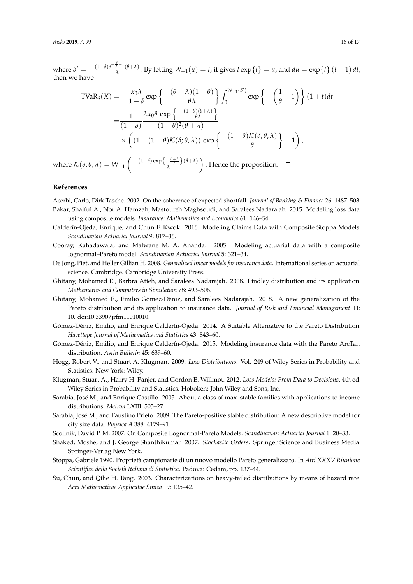where  $\delta' = -\frac{(1-\delta)e^{-\frac{\theta}{\lambda}-1}(\theta+\lambda)}{\lambda}$  $\frac{\partial}{\partial \lambda}$  ( $\theta + \lambda$ ). By letting  $W_{-1}(u) = t$ , it gives  $t \exp\{t\} = u$ , and  $du = \exp\{t\}$   $(t + 1) dt$ , then we have

$$
\text{TVaR}_{\delta}(X) = -\frac{x_0 \lambda}{1 - \delta} \exp\left\{-\frac{(\theta + \lambda)(1 - \theta)}{\theta \lambda}\right\} \int_0^{W_{-1}(\delta')} \exp\left\{-\left(\frac{1}{\theta} - 1\right)\right\} (1 + t) dt
$$

$$
= \frac{1}{(1 - \delta)} \frac{\lambda x_0 \theta \exp\left\{-\frac{(1 - \theta)(\theta + \lambda)}{\theta \lambda}\right\}}{(1 - \theta)^2 (\theta + \lambda)}
$$

$$
\times \left((1 + (1 - \theta) \mathcal{K}(\delta; \theta, \lambda)) \exp\left\{-\frac{(1 - \theta) \mathcal{K}(\delta; \theta, \lambda)}{\theta}\right\} - 1\right),
$$

where  $\mathcal{K}(\delta; \theta, \lambda) = W_{-1} \left( - \frac{(1-\delta) \exp\left\{-\frac{\theta + \lambda}{\lambda}\right\}(\theta + \lambda)}{\lambda} \right)$ . Hence the proposition.

## **References**

<span id="page-15-13"></span>Acerbi, Carlo, Dirk Tasche. 2002. On the coherence of expected shortfall. *Journal of Banking & Finance* 26: 1487–503.

- <span id="page-15-7"></span>Bakar, Shaiful A., Nor A. Hamzah, Mastoureh Maghsoudi, and Saralees Nadarajah. 2015. Modeling loss data using composite models. *Insurance: Mathematics and Economics* 61: 146–54.
- <span id="page-15-8"></span>Calderín-Ojeda, Enrique, and Chun F. Kwok. 2016. Modeling Claims Data with Composite Stoppa Models. *Scandinavian Actuarial Journal* 9: 817–36.
- <span id="page-15-5"></span>Cooray, Kahadawala, and Malwane M. A. Ananda. 2005. Modeling actuarial data with a composite lognormal–Pareto model. *Scandinavian Actuarial Journal* 5: 321–34.
- <span id="page-15-14"></span>De Jong, Piet, and Heller Gillian H. 2008. *Generalized linear models for insurance data*. International series on actuarial science. Cambridge. Cambridge University Press.
- <span id="page-15-9"></span>Ghitany, Mohamed E., Barbra Atieh, and Saralees Nadarajah. 2008. Lindley distribution and its application. *Mathematics and Computers in Simulation* 78: 493–506.
- <span id="page-15-3"></span>Ghitany, Mohamed E., Emilio Gómez-Déniz, and Saralees Nadarajah. 2018. A new generalization of the Pareto distribution and its application to insurance data. *Journal of Risk and Financial Management* 11: 10. doi:10.3390/jrfm11010010.
- <span id="page-15-4"></span>Gómez-Déniz, Emilio, and Enrique Calderín-Ojeda. 2014. A Suitable Alternative to the Pareto Distribution. *Hacettepe Journal of Mathematics and Statistics* 43: 843–60.
- <span id="page-15-2"></span>Gómez-Déniz, Emilio, and Enrique Calderín-Ojeda. 2015. Modeling insurance data with the Pareto ArcTan distribution. *Astin Bulletin* 45: 639–60.
- <span id="page-15-15"></span>Hogg, Robert V., and Stuart A. Klugman. 2009. *Loss Distributions*. Vol. 249 of Wiley Series in Probability and Statistics. New York: Wiley.
- <span id="page-15-12"></span>Klugman, Stuart A., Harry H. Panjer, and Gordon E. Willmot. 2012. *Loss Models: From Data to Decisions*, 4th ed. Wiley Series in Probability and Statistics. Hoboken: John Wiley and Sons, Inc.
- <span id="page-15-16"></span>Sarabia, José M., and Enrique Castillo. 2005. About a class of max–stable families with applications to income distributions. *Metron* LXIII: 505–27.
- <span id="page-15-1"></span>Sarabia, José M., and Faustino Prieto. 2009. The Pareto-positive stable distribution: A new descriptive model for city size data. *Physica A* 388: 4179–91.
- <span id="page-15-6"></span>Scollnik, David P. M. 2007. On Composite Lognormal-Pareto Models. *Scandinavian Actuarial Journal* 1: 20–33.
- <span id="page-15-10"></span>Shaked, Moshe, and J. George Shanthikumar. 2007. *Stochastic Orders*. Springer Science and Business Media. Springer-Verlag New York.
- <span id="page-15-0"></span>Stoppa, Gabriele 1990. Proprieta` campionarie di un nuovo modello Pareto generalizzato. In *Atti XXXV Riunione Scientifica della Societa Italiana di Statistica* ` . Padova: Cedam, pp. 137–44.
- <span id="page-15-11"></span>Su, Chun, and Qihe H. Tang. 2003. Characterizations on heavy-tailed distributions by means of hazard rate. *Acta Mathematicae Applicatae Sinica* 19: 135–42.